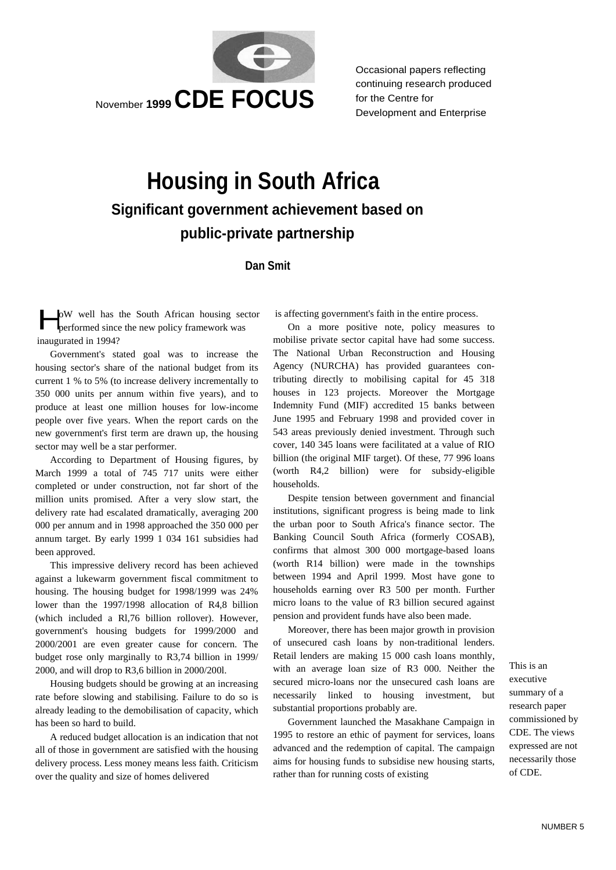

Occasional papers reflecting continuing research produced for the Centre for Development and Enterprise

# **Housing in South Africa Significant government achievement based on public-private partnership**

# **Dan Smit**

oW well has the South African housing sector performed since the new policy framework was inaugurated in 1994?  $\begin{bmatrix} 1 & 1 \\ 1 & 1 \\ 1 & 1 \end{bmatrix}$ 

Government's stated goal was to increase the housing sector's share of the national budget from its current 1 % to 5% (to increase delivery incrementally to 350 000 units per annum within five years), and to produce at least one million houses for low-income people over five years. When the report cards on the new government's first term are drawn up, the housing sector may well be a star performer.

According to Department of Housing figures, by March 1999 a total of 745 717 units were either completed or under construction, not far short of the million units promised. After a very slow start, the delivery rate had escalated dramatically, averaging 200 000 per annum and in 1998 approached the 350 000 per annum target. By early 1999 1 034 161 subsidies had been approved.

This impressive delivery record has been achieved against a lukewarm government fiscal commitment to housing. The housing budget for 1998/1999 was 24% lower than the 1997/1998 allocation of R4,8 billion (which included a Rl,76 billion rollover). However, government's housing budgets for 1999/2000 and 2000/2001 are even greater cause for concern. The budget rose only marginally to R3,74 billion in 1999/ 2000, and will drop to R3,6 billion in 2000/200l.

Housing budgets should be growing at an increasing rate before slowing and stabilising. Failure to do so is already leading to the demobilisation of capacity, which has been so hard to build.

A reduced budget allocation is an indication that not all of those in government are satisfied with the housing delivery process. Less money means less faith. Criticism over the quality and size of homes delivered

is affecting government's faith in the entire process.

On a more positive note, policy measures to mobilise private sector capital have had some success. The National Urban Reconstruction and Housing Agency (NURCHA) has provided guarantees contributing directly to mobilising capital for 45 318 houses in 123 projects. Moreover the Mortgage Indemnity Fund (MIF) accredited 15 banks between June 1995 and February 1998 and provided cover in 543 areas previously denied investment. Through such cover, 140 345 loans were facilitated at a value of RIO billion (the original MIF target). Of these, 77 996 loans (worth R4,2 billion) were for subsidy-eligible households.

Despite tension between government and financial institutions, significant progress is being made to link the urban poor to South Africa's finance sector. The Banking Council South Africa (formerly COSAB), confirms that almost 300 000 mortgage-based loans (worth R14 billion) were made in the townships between 1994 and April 1999. Most have gone to households earning over R3 500 per month. Further micro loans to the value of R3 billion secured against pension and provident funds have also been made.

Moreover, there has been major growth in provision of unsecured cash loans by non-traditional lenders. Retail lenders are making 15 000 cash loans monthly, with an average loan size of R3 000. Neither the secured micro-loans nor the unsecured cash loans are necessarily linked to housing investment, but substantial proportions probably are.

Government launched the Masakhane Campaign in 1995 to restore an ethic of payment for services, loans advanced and the redemption of capital. The campaign aims for housing funds to subsidise new housing starts, rather than for running costs of existing

This is an executive summary of a research paper commissioned by CDE. The views expressed are not necessarily those of CDE.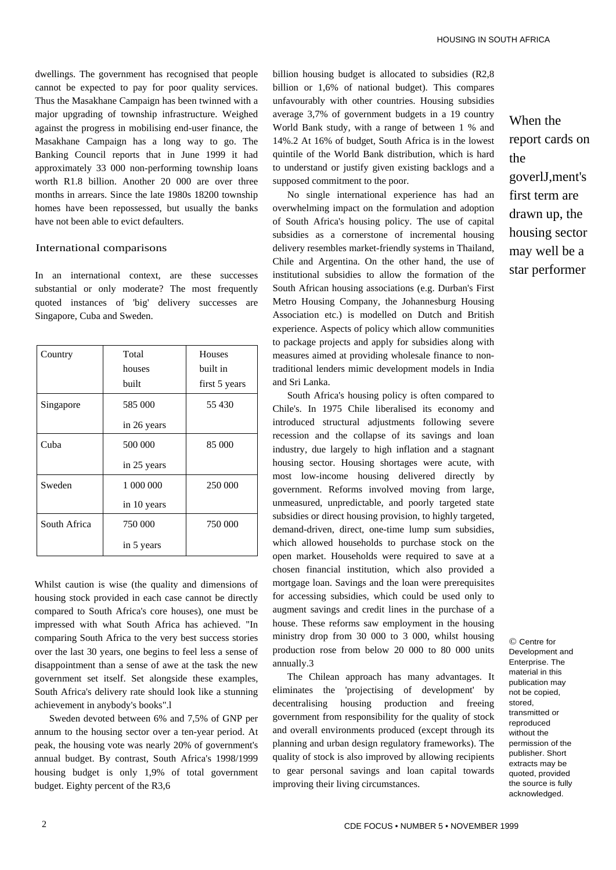dwellings. The government has recognised that people cannot be expected to pay for poor quality services. Thus the Masakhane Campaign has been twinned with a major upgrading of township infrastructure. Weighed against the progress in mobilising end-user finance, the Masakhane Campaign has a long way to go. The Banking Council reports that in June 1999 it had approximately 33 000 non-performing township loans worth R1.8 billion. Another 20 000 are over three months in arrears. Since the late 1980s 18200 township homes have been repossessed, but usually the banks have not been able to evict defaulters.

### International comparisons

In an international context, are these successes substantial or only moderate? The most frequently quoted instances of 'big' delivery successes are Singapore, Cuba and Sweden.

| Country      | Total       | <b>Houses</b> |
|--------------|-------------|---------------|
|              | houses      | built in      |
|              | built       | first 5 years |
| Singapore    | 585 000     | 55 430        |
|              | in 26 years |               |
| Cuba         | 500 000     | 85 000        |
|              | in 25 years |               |
| Sweden       | 1 000 000   | 250 000       |
|              | in 10 years |               |
| South Africa | 750 000     | 750 000       |
|              | in 5 years  |               |

Whilst caution is wise (the quality and dimensions of housing stock provided in each case cannot be directly compared to South Africa's core houses), one must be impressed with what South Africa has achieved. "In comparing South Africa to the very best success stories over the last 30 years, one begins to feel less a sense of disappointment than a sense of awe at the task the new government set itself. Set alongside these examples, South Africa's delivery rate should look like a stunning achievement in anybody's books".l

Sweden devoted between 6% and 7,5% of GNP per annum to the housing sector over a ten-year period. At peak, the housing vote was nearly 20% of government's annual budget. By contrast, South Africa's 1998/1999 housing budget is only 1,9% of total government budget. Eighty percent of the R3,6

billion housing budget is allocated to subsidies (R2,8 billion or 1,6% of national budget). This compares unfavourably with other countries. Housing subsidies average 3,7% of government budgets in a 19 country World Bank study, with a range of between 1 % and 14%.2 At 16% of budget, South Africa is in the lowest quintile of the World Bank distribution, which is hard to understand or justify given existing backlogs and a supposed commitment to the poor.

No single international experience has had an overwhelming impact on the formulation and adoption of South Africa's housing policy. The use of capital subsidies as a cornerstone of incremental housing delivery resembles market-friendly systems in Thailand, Chile and Argentina. On the other hand, the use of institutional subsidies to allow the formation of the South African housing associations (e.g. Durban's First Metro Housing Company, the Johannesburg Housing Association etc.) is modelled on Dutch and British experience. Aspects of policy which allow communities to package projects and apply for subsidies along with measures aimed at providing wholesale finance to nontraditional lenders mimic development models in India and Sri Lanka.

South Africa's housing policy is often compared to Chile's. In 1975 Chile liberalised its economy and introduced structural adjustments following severe recession and the collapse of its savings and loan industry, due largely to high inflation and a stagnant housing sector. Housing shortages were acute, with most low-income housing delivered directly by government. Reforms involved moving from large, unmeasured, unpredictable, and poorly targeted state subsidies or direct housing provision, to highly targeted, demand-driven, direct, one-time lump sum subsidies, which allowed households to purchase stock on the open market. Households were required to save at a chosen financial institution, which also provided a mortgage loan. Savings and the loan were prerequisites for accessing subsidies, which could be used only to augment savings and credit lines in the purchase of a house. These reforms saw employment in the housing ministry drop from 30 000 to 3 000, whilst housing production rose from below 20 000 to 80 000 units annually.3

The Chilean approach has many advantages. It eliminates the 'projectising of development' by decentralising housing production and freeing government from responsibility for the quality of stock and overall environments produced (except through its planning and urban design regulatory frameworks). The quality of stock is also improved by allowing recipients to gear personal savings and loan capital towards improving their living circumstances.

When the report cards on the goverlJ,ment's first term are drawn up, the housing sector may well be a star performer

© Centre for Development and Enterprise. The material in this publication may not be copied, stored, transmitted or reproduced without the permission of the publisher. Short extracts may be quoted, provided the source is fully acknowledged.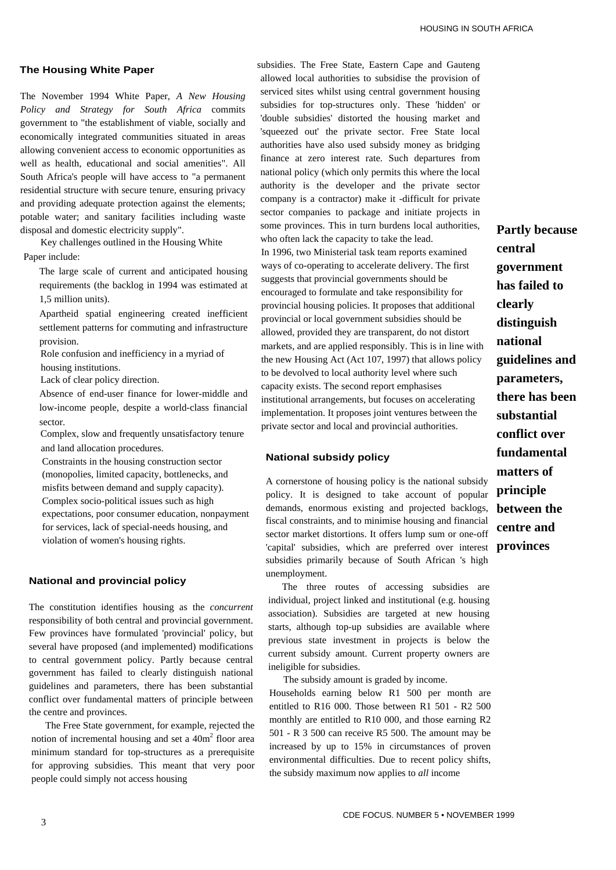### **The Housing White Paper**

The November 1994 White Paper, *A New Housing Policy and Strategy for South Africa* commits government to "the establishment of viable, socially and economically integrated communities situated in areas allowing convenient access to economic opportunities as well as health, educational and social amenities". All South Africa's people will have access to "a permanent residential structure with secure tenure, ensuring privacy and providing adequate protection against the elements; potable water; and sanitary facilities including waste disposal and domestic electricity supply".

Key challenges outlined in the Housing White Paper include:

The large scale of current and anticipated housing requirements (the backlog in 1994 was estimated at 1,5 million units).

Apartheid spatial engineering created inefficient settlement patterns for commuting and infrastructure provision.

Role confusion and inefficiency in a myriad of housing institutions.

Lack of clear policy direction.

Absence of end-user finance for lower-middle and low-income people, despite a world-class financial sector.

Complex, slow and frequently unsatisfactory tenure and land allocation procedures.

Constraints in the housing construction sector (monopolies, limited capacity, bottlenecks, and misfits between demand and supply capacity). Complex socio-political issues such as high expectations, poor consumer education, nonpayment for services, lack of special-needs housing, and violation of women's housing rights.

## **National and provincial policy**

The constitution identifies housing as the *concurrent*  responsibility of both central and provincial government. Few provinces have formulated 'provincial' policy, but several have proposed (and implemented) modifications to central government policy. Partly because central government has failed to clearly distinguish national guidelines and parameters, there has been substantial conflict over fundamental matters of principle between the centre and provinces.

The Free State government, for example, rejected the notion of incremental housing and set a  $40m<sup>2</sup>$  floor area minimum standard for top-structures as a prerequisite for approving subsidies. This meant that very poor people could simply not access housing

subsidies. The Free State, Eastern Cape and Gauteng allowed local authorities to subsidise the provision of serviced sites whilst using central government housing subsidies for top-structures only. These 'hidden' or 'double subsidies' distorted the housing market and 'squeezed out' the private sector. Free State local authorities have also used subsidy money as bridging finance at zero interest rate. Such departures from national policy (which only permits this where the local authority is the developer and the private sector company is a contractor) make it -difficult for private sector companies to package and initiate projects in some provinces. This in turn burdens local authorities, who often lack the capacity to take the lead. In 1996, two Ministerial task team reports examined ways of co-operating to accelerate delivery. The first suggests that provincial governments should be encouraged to formulate and take responsibility for provincial housing policies. It proposes that additional provincial or local government subsidies should be allowed, provided they are transparent, do not distort markets, and are applied responsibly. This is in line with the new Housing Act (Act 107, 1997) that allows policy to be devolved to local authority level where such capacity exists. The second report emphasises institutional arrangements, but focuses on accelerating implementation. It proposes joint ventures between the private sector and local and provincial authorities.

## **National subsidy policy**

A cornerstone of housing policy is the national subsidy policy. It is designed to take account of popular demands, enormous existing and projected backlogs, fiscal constraints, and to minimise housing and financial sector market distortions. It offers lump sum or one-off 'capital' subsidies, which are preferred over interest **provinces**  subsidies primarily because of South African 's high unemployment.

The three routes of accessing subsidies are individual, project linked and institutional (e.g. housing association). Subsidies are targeted at new housing starts, although top-up subsidies are available where previous state investment in projects is below the current subsidy amount. Current property owners are ineligible for subsidies.

The subsidy amount is graded by income.

Households earning below R1 500 per month are entitled to R16 000. Those between R1 501 - R2 500 monthly are entitled to R10 000, and those earning R2 501 - R 3 500 can receive R5 500. The amount may be increased by up to 15% in circumstances of proven environmental difficulties. Due to recent policy shifts, the subsidy maximum now applies to *all* income

**Partly because central government has failed to clearly distinguish national guidelines and parameters, there has been substantial conflict over fundamental matters of principle between the centre and**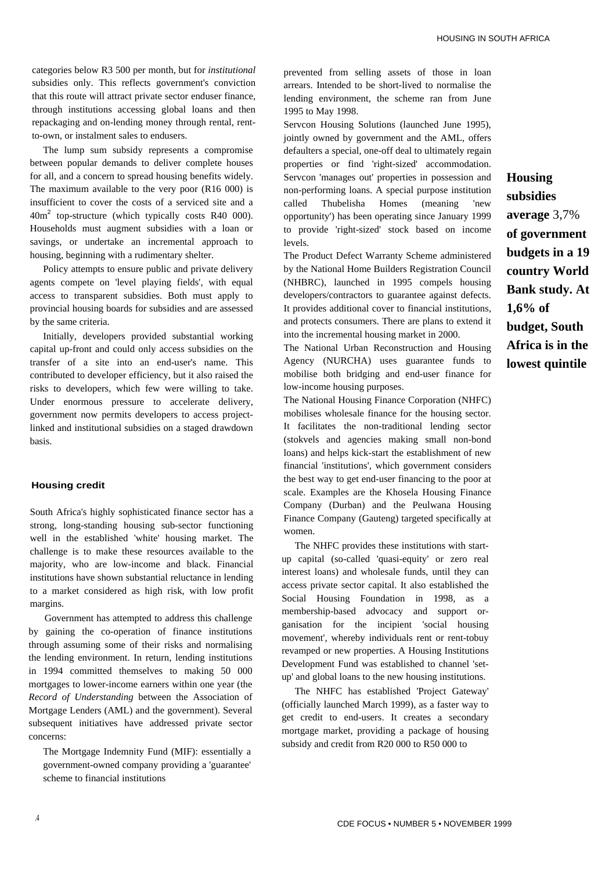categories below R3 500 per month, but for *institutional*  subsidies only. This reflects government's conviction that this route will attract private sector enduser finance, through institutions accessing global loans and then repackaging and on-lending money through rental, rentto-own, or instalment sales to endusers.

The lump sum subsidy represents a compromise between popular demands to deliver complete houses for all, and a concern to spread housing benefits widely. The maximum available to the very poor (R16 000) is insufficient to cover the costs of a serviced site and a  $40m<sup>2</sup>$  top-structure (which typically costs R40 000). Households must augment subsidies with a loan or savings, or undertake an incremental approach to housing, beginning with a rudimentary shelter.

Policy attempts to ensure public and private delivery agents compete on 'level playing fields', with equal access to transparent subsidies. Both must apply to provincial housing boards for subsidies and are assessed by the same criteria.

Initially, developers provided substantial working capital up-front and could only access subsidies on the transfer of a site into an end-user's name. This contributed to developer efficiency, but it also raised the risks to developers, which few were willing to take. Under enormous pressure to accelerate delivery, government now permits developers to access projectlinked and institutional subsidies on a staged drawdown basis.

#### **Housing credit**

South Africa's highly sophisticated finance sector has a strong, long-standing housing sub-sector functioning well in the established 'white' housing market. The challenge is to make these resources available to the majority, who are low-income and black. Financial institutions have shown substantial reluctance in lending to a market considered as high risk, with low profit margins.

Government has attempted to address this challenge by gaining the co-operation of finance institutions through assuming some of their risks and normalising the lending environment. In return, lending institutions in 1994 committed themselves to making 50 000 mortgages to lower-income earners within one year (the *Record of Understanding* between the Association of Mortgage Lenders (AML) and the government). Several subsequent initiatives have addressed private sector concerns:

The Mortgage Indemnity Fund (MIF): essentially a government-owned company providing a 'guarantee' scheme to financial institutions

prevented from selling assets of those in loan arrears. Intended to be short-lived to normalise the lending environment, the scheme ran from June 1995 to May 1998.

Servcon Housing Solutions (launched June 1995), jointly owned by government and the AML, offers defaulters a special, one-off deal to ultimately regain properties or find 'right-sized' accommodation. Servcon 'manages out' properties in possession and non-performing loans. A special purpose institution called Thubelisha Homes (meaning 'new opportunity') has been operating since January 1999 to provide 'right-sized' stock based on income levels.

The Product Defect Warranty Scheme administered by the National Home Builders Registration Council (NHBRC), launched in 1995 compels housing developers/contractors to guarantee against defects. It provides additional cover to financial institutions, and protects consumers. There are plans to extend it into the incremental housing market in 2000.

The National Urban Reconstruction and Housing Agency (NURCHA) uses guarantee funds to mobilise both bridging and end-user finance for low-income housing purposes.

The National Housing Finance Corporation (NHFC) mobilises wholesale finance for the housing sector. It facilitates the non-traditional lending sector (stokvels and agencies making small non-bond loans) and helps kick-start the establishment of new financial 'institutions', which government considers the best way to get end-user financing to the poor at scale. Examples are the Khosela Housing Finance Company (Durban) and the Peulwana Housing Finance Company (Gauteng) targeted specifically at women.

The NHFC provides these institutions with startup capital (so-called 'quasi-equity' or zero real interest loans) and wholesale funds, until they can access private sector capital. It also established the Social Housing Foundation in 1998, as a membership-based advocacy and support organisation for the incipient 'social housing movement', whereby individuals rent or rent-tobuy revamped or new properties. A Housing Institutions Development Fund was established to channel 'setup' and global loans to the new housing institutions.

The NHFC has established 'Project Gateway' (officially launched March 1999), as a faster way to get credit to end-users. It creates a secondary mortgage market, providing a package of housing subsidy and credit from R20 000 to R50 000 to

# **Housing**

**subsidies average** 3,7% **of government budgets in a 19 country World Bank study. At 1,6% of budget, South Africa is in the lowest quintile**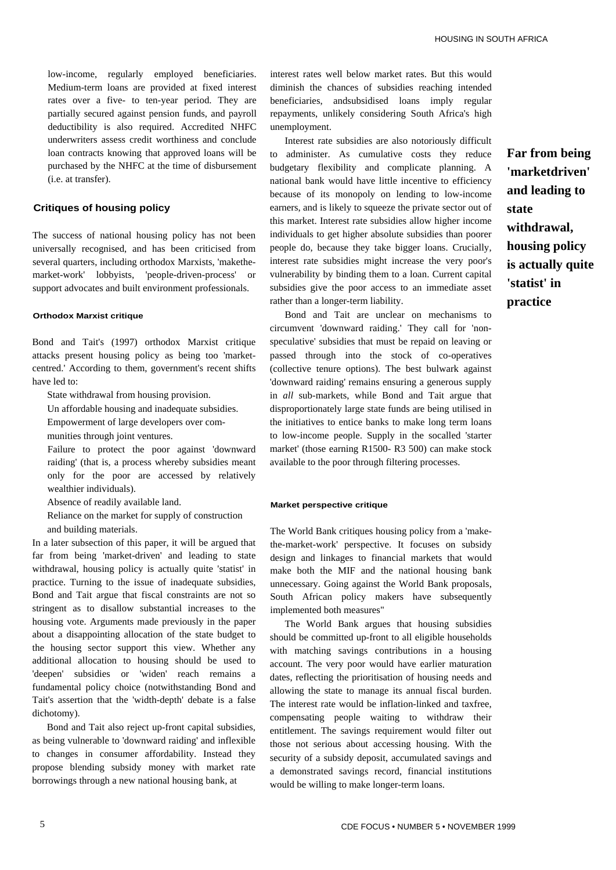low-income, regularly employed beneficiaries. Medium-term loans are provided at fixed interest rates over a five- to ten-year period. They are partially secured against pension funds, and payroll deductibility is also required. Accredited NHFC underwriters assess credit worthiness and conclude loan contracts knowing that approved loans will be purchased by the NHFC at the time of disbursement (i.e. at transfer).

# **Critiques of housing policy**

The success of national housing policy has not been universally recognised, and has been criticised from several quarters, including orthodox Marxists, 'makethemarket-work' lobbyists, 'people-driven-process' or support advocates and built environment professionals.

### **Orthodox Marxist critique**

Bond and Tait's (1997) orthodox Marxist critique attacks present housing policy as being too 'marketcentred.' According to them, government's recent shifts have led to:

State withdrawal from housing provision.

Un affordable housing and inadequate subsidies.

Empowerment of large developers over com-

munities through joint ventures.

Failure to protect the poor against 'downward raiding' (that is, a process whereby subsidies meant only for the poor are accessed by relatively wealthier individuals).

Absence of readily available land.

Reliance on the market for supply of construction and building materials.

In a later subsection of this paper, it will be argued that far from being 'market-driven' and leading to state withdrawal, housing policy is actually quite 'statist' in practice. Turning to the issue of inadequate subsidies, Bond and Tait argue that fiscal constraints are not so stringent as to disallow substantial increases to the housing vote. Arguments made previously in the paper about a disappointing allocation of the state budget to the housing sector support this view. Whether any additional allocation to housing should be used to 'deepen' subsidies or 'widen' reach remains a fundamental policy choice (notwithstanding Bond and Tait's assertion that the 'width-depth' debate is a false dichotomy).

Bond and Tait also reject up-front capital subsidies, as being vulnerable to 'downward raiding' and inflexible to changes in consumer affordability. Instead they propose blending subsidy money with market rate borrowings through a new national housing bank, at

interest rates well below market rates. But this would diminish the chances of subsidies reaching intended beneficiaries, andsubsidised loans imply regular repayments, unlikely considering South Africa's high unemployment.

Interest rate subsidies are also notoriously difficult to administer. As cumulative costs they reduce budgetary flexibility and complicate planning. A national bank would have little incentive to efficiency because of its monopoly on lending to low-income earners, and is likely to squeeze the private sector out of this market. Interest rate subsidies allow higher income individuals to get higher absolute subsidies than poorer people do, because they take bigger loans. Crucially, interest rate subsidies might increase the very poor's vulnerability by binding them to a loan. Current capital subsidies give the poor access to an immediate asset rather than a longer-term liability.

Bond and Tait are unclear on mechanisms to circumvent 'downward raiding.' They call for 'nonspeculative' subsidies that must be repaid on leaving or passed through into the stock of co-operatives (collective tenure options). The best bulwark against 'downward raiding' remains ensuring a generous supply in *all* sub-markets, while Bond and Tait argue that disproportionately large state funds are being utilised in the initiatives to entice banks to make long term loans to low-income people. Supply in the socalled 'starter market' (those earning R1500- R3 500) can make stock available to the poor through filtering processes.

#### **Market perspective critique**

The World Bank critiques housing policy from a 'makethe-market-work' perspective. It focuses on subsidy design and linkages to financial markets that would make both the MIF and the national housing bank unnecessary. Going against the World Bank proposals, South African policy makers have subsequently implemented both measures"

The World Bank argues that housing subsidies should be committed up-front to all eligible households with matching savings contributions in a housing account. The very poor would have earlier maturation dates, reflecting the prioritisation of housing needs and allowing the state to manage its annual fiscal burden. The interest rate would be inflation-linked and taxfree, compensating people waiting to withdraw their entitlement. The savings requirement would filter out those not serious about accessing housing. With the security of a subsidy deposit, accumulated savings and a demonstrated savings record, financial institutions would be willing to make longer-term loans.

**Far from being 'marketdriven' and leading to state withdrawal, housing policy is actually quite 'statist' in practice**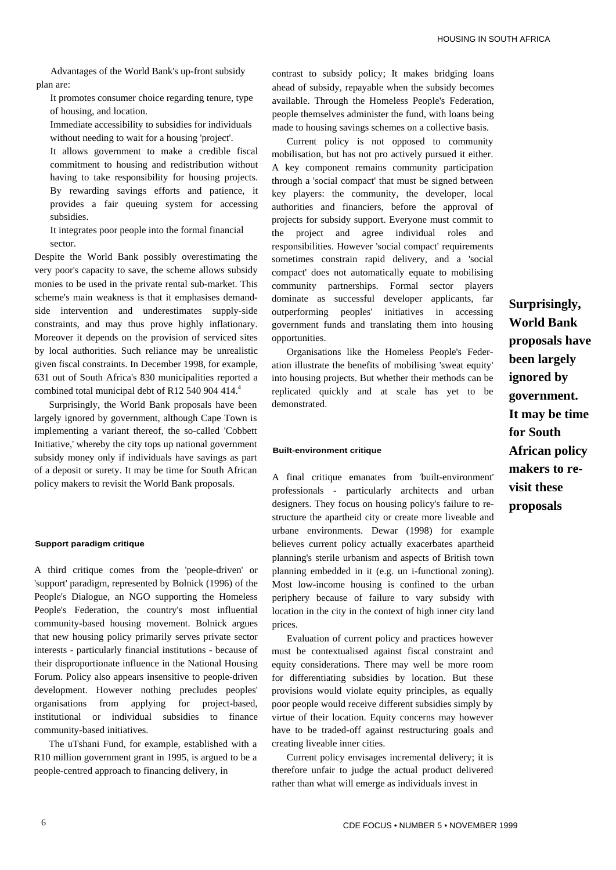Advantages of the World Bank's up-front subsidy plan are:

It promotes consumer choice regarding tenure, type of housing, and location.

Immediate accessibility to subsidies for individuals without needing to wait for a housing 'project'.

It allows government to make a credible fiscal commitment to housing and redistribution without having to take responsibility for housing projects. By rewarding savings efforts and patience, it provides a fair queuing system for accessing subsidies.

It integrates poor people into the formal financial sector.

Despite the World Bank possibly overestimating the very poor's capacity to save, the scheme allows subsidy monies to be used in the private rental sub-market. This scheme's main weakness is that it emphasises demandside intervention and underestimates supply-side constraints, and may thus prove highly inflationary. Moreover it depends on the provision of serviced sites by local authorities. Such reliance may be unrealistic given fiscal constraints. In December 1998, for example, 631 out of South Africa's 830 municipalities reported a combined total municipal debt of R12 540 904 414. $^{4}$ 

 Surprisingly, the World Bank proposals have been largely ignored by government, although Cape Town is implementing a variant thereof, the so-called 'Cobbett Initiative,' whereby the city tops up national government subsidy money only if individuals have savings as part of a deposit or surety. It may be time for South African policy makers to revisit the World Bank proposals.

#### **Support paradigm critique**

A third critique comes from the 'people-driven' or 'support' paradigm, represented by Bolnick (1996) of the People's Dialogue, an NGO supporting the Homeless People's Federation, the country's most influential community-based housing movement. Bolnick argues that new housing policy primarily serves private sector interests - particularly financial institutions - because of their disproportionate influence in the National Housing Forum. Policy also appears insensitive to people-driven development. However nothing precludes peoples' organisations from applying for project-based, institutional or individual subsidies to finance community-based initiatives.

The uTshani Fund, for example, established with a R10 million government grant in 1995, is argued to be a people-centred approach to financing delivery, in

contrast to subsidy policy; It makes bridging loans ahead of subsidy, repayable when the subsidy becomes available. Through the Homeless People's Federation, people themselves administer the fund, with loans being made to housing savings schemes on a collective basis.

Current policy is not opposed to community mobilisation, but has not pro actively pursued it either. A key component remains community participation through a 'social compact' that must be signed between key players: the community, the developer, local authorities and financiers, before the approval of projects for subsidy support. Everyone must commit to the project and agree individual roles and responsibilities. However 'social compact' requirements sometimes constrain rapid delivery, and a 'social compact' does not automatically equate to mobilising community partnerships. Formal sector players dominate as successful developer applicants, far outperforming peoples' initiatives in accessing government funds and translating them into housing opportunities.

Organisations like the Homeless People's Federation illustrate the benefits of mobilising 'sweat equity' into housing projects. But whether their methods can be replicated quickly and at scale has yet to be demonstrated.

#### **Built-environment critique**

A final critique emanates from 'built-environment' professionals - particularly architects and urban designers. They focus on housing policy's failure to restructure the apartheid city or create more liveable and urbane environments. Dewar (1998) for example believes current policy actually exacerbates apartheid planning's sterile urbanism and aspects of British town planning embedded in it (e.g. un i-functional zoning). Most low-income housing is confined to the urban periphery because of failure to vary subsidy with location in the city in the context of high inner city land prices.

Evaluation of current policy and practices however must be contextualised against fiscal constraint and equity considerations. There may well be more room for differentiating subsidies by location. But these provisions would violate equity principles, as equally poor people would receive different subsidies simply by virtue of their location. Equity concerns may however have to be traded-off against restructuring goals and creating liveable inner cities.

Current policy envisages incremental delivery; it is therefore unfair to judge the actual product delivered rather than what will emerge as individuals invest in

**Surprisingly, World Bank proposals have been largely ignored by government. It may be time for South African policy makers to revisit these proposals**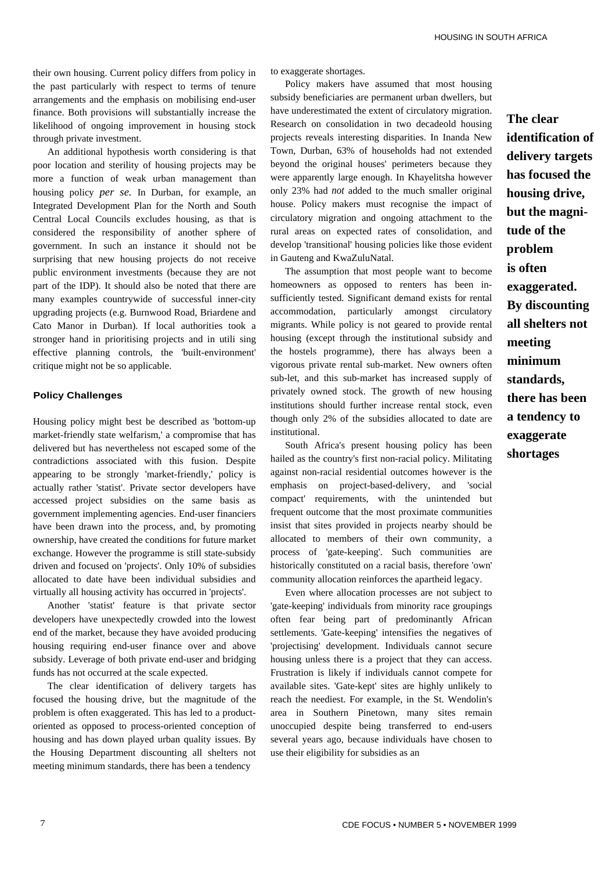their own housing. Current policy differs from policy in the past particularly with respect to terms of tenure arrangements and the emphasis on mobilising end-user finance. Both provisions will substantially increase the likelihood of ongoing improvement in housing stock through private investment.

An additional hypothesis worth considering is that poor location and sterility of housing projects may be more a function of weak urban management than housing policy *per se.* In Durban, for example, an Integrated Development Plan for the North and South Central Local Councils excludes housing, as that is considered the responsibility of another sphere of government. In such an instance it should not be surprising that new housing projects do not receive public environment investments (because they are not part of the IDP). It should also be noted that there are many examples countrywide of successful inner-city upgrading projects (e.g. Burnwood Road, Briardene and Cato Manor in Durban). If local authorities took a stronger hand in prioritising projects and in utili sing effective planning controls, the 'built-environment' critique might not be so applicable.

## **Policy Challenges**

Housing policy might best be described as 'bottom-up market-friendly state welfarism,' a compromise that has delivered but has nevertheless not escaped some of the contradictions associated with this fusion. Despite appearing to be strongly 'market-friendly,' policy is actually rather 'statist'. Private sector developers have accessed project subsidies on the same basis as government implementing agencies. End-user financiers have been drawn into the process, and, by promoting ownership, have created the conditions for future market exchange. However the programme is still state-subsidy driven and focused on 'projects'. Only 10% of subsidies allocated to date have been individual subsidies and virtually all housing activity has occurred in 'projects'.

Another 'statist' feature is that private sector developers have unexpectedly crowded into the lowest end of the market, because they have avoided producing housing requiring end-user finance over and above subsidy. Leverage of both private end-user and bridging funds has not occurred at the scale expected.

The clear identification of delivery targets has focused the housing drive, but the magnitude of the problem is often exaggerated. This has led to a productoriented as opposed to process-oriented conception of housing and has down played urban quality issues. By the Housing Department discounting all shelters not meeting minimum standards, there has been a tendency

to exaggerate shortages.

Policy makers have assumed that most housing subsidy beneficiaries are permanent urban dwellers, but have underestimated the extent of circulatory migration. Research on consolidation in two decadeold housing projects reveals interesting disparities. In Inanda New Town, Durban, 63% of households had not extended beyond the original houses' perimeters because they were apparently large enough. In Khayelitsha however only 23% had *not* added to the much smaller original house. Policy makers must recognise the impact of circulatory migration and ongoing attachment to the rural areas on expected rates of consolidation, and develop 'transitional' housing policies like those evident in Gauteng and KwaZuluNatal.

The assumption that most people want to become homeowners as opposed to renters has been insufficiently tested. Significant demand exists for rental accommodation, particularly amongst circulatory migrants. While policy is not geared to provide rental housing (except through the institutional subsidy and the hostels programme), there has always been a vigorous private rental sub-market. New owners often sub-let, and this sub-market has increased supply of privately owned stock. The growth of new housing institutions should further increase rental stock, even though only 2% of the subsidies allocated to date are institutional.

South Africa's present housing policy has been hailed as the country's first non-racial policy. Militating against non-racial residential outcomes however is the emphasis on project-based-delivery, and 'social compact' requirements, with the unintended but frequent outcome that the most proximate communities insist that sites provided in projects nearby should be allocated to members of their own community, a process of 'gate-keeping'. Such communities are historically constituted on a racial basis, therefore 'own' community allocation reinforces the apartheid legacy.

Even where allocation processes are not subject to 'gate-keeping' individuals from minority race groupings often fear being part of predominantly African settlements. 'Gate-keeping' intensifies the negatives of 'projectising' development. Individuals cannot secure housing unless there is a project that they can access. Frustration is likely if individuals cannot compete for available sites. 'Gate-kept' sites are highly unlikely to reach the neediest. For example, in the St. Wendolin's area in Southern Pinetown, many sites remain unoccupied despite being transferred to end-users several years ago, because individuals have chosen to use their eligibility for subsidies as an

**The clear identification of delivery targets has focused the housing drive, but the magnitude of the problem is often exaggerated. By discounting all shelters not meeting minimum standards, there has been a tendency to exaggerate shortages**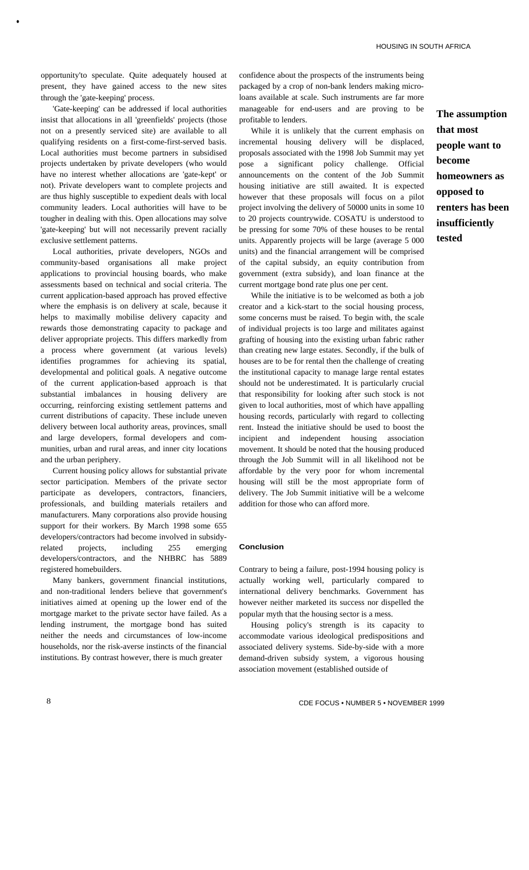opportunity'to speculate. Quite adequately housed at present, they have gained access to the new sites through the 'gate-keeping' process.

•

'Gate-keeping' can be addressed if local authorities insist that allocations in all 'greenfields' projects (those not on a presently serviced site) are available to all qualifying residents on a first-come-first-served basis. Local authorities must become partners in subsidised projects undertaken by private developers (who would have no interest whether allocations are 'gate-kept' or not). Private developers want to complete projects and are thus highly susceptible to expedient deals with local community leaders. Local authorities will have to be tougher in dealing with this. Open allocations may solve 'gate-keeping' but will not necessarily prevent racially exclusive settlement patterns.

Local authorities, private developers, NGOs and community-based organisations all make project applications to provincial housing boards, who make assessments based on technical and social criteria. The current application-based approach has proved effective where the emphasis is on delivery at scale, because it helps to maximally mobilise delivery capacity and rewards those demonstrating capacity to package and deliver appropriate projects. This differs markedly from a process where government (at various levels) identifies programmes for achieving its spatial, developmental and political goals. A negative outcome of the current application-based approach is that substantial imbalances in housing delivery are occurring, reinforcing existing settlement patterns and current distributions of capacity. These include uneven delivery between local authority areas, provinces, small and large developers, formal developers and communities, urban and rural areas, and inner city locations and the urban periphery.

Current housing policy allows for substantial private sector participation. Members of the private sector participate as developers, contractors, financiers, professionals, and building materials retailers and manufacturers. Many corporations also provide housing support for their workers. By March 1998 some 655 developers/contractors had become involved in subsidyrelated projects, including 255 emerging developers/contractors, and the NHBRC has 5889 registered homebuilders.

Many bankers, government financial institutions, and non-traditional lenders believe that government's initiatives aimed at opening up the lower end of the mortgage market to the private sector have failed. As a lending instrument, the mortgage bond has suited neither the needs and circumstances of low-income households, nor the risk-averse instincts of the financial institutions. By contrast however, there is much greater

confidence about the prospects of the instruments being packaged by a crop of non-bank lenders making microloans available at scale. Such instruments are far more manageable for end-users and are proving to be profitable to lenders.

While it is unlikely that the current emphasis on incremental housing delivery will be displaced, proposals associated with the 1998 Job Summit may yet pose a significant policy challenge. Official announcements on the content of the Job Summit housing initiative are still awaited. It is expected however that these proposals will focus on a pilot project involving the delivery of 50000 units in some 10 to 20 projects countrywide. COSATU is understood to be pressing for some 70% of these houses to be rental units. Apparently projects will be large (average 5 000 units) and the financial arrangement will be comprised of the capital subsidy, an equity contribution from government (extra subsidy), and loan finance at the current mortgage bond rate plus one per cent.

While the initiative is to be welcomed as both a job creator and a kick-start to the social housing process, some concerns must be raised. To begin with, the scale of individual projects is too large and militates against grafting of housing into the existing urban fabric rather than creating new large estates. Secondly, if the bulk of houses are to be for rental then the challenge of creating the institutional capacity to manage large rental estates should not be underestimated. It is particularly crucial that responsibility for looking after such stock is not given to local authorities, most of which have appalling housing records, particularly with regard to collecting rent. Instead the initiative should be used to boost the incipient and independent housing association movement. It should be noted that the housing produced through the Job Summit will in all likelihood not be affordable by the very poor for whom incremental housing will still be the most appropriate form of delivery. The Job Summit initiative will be a welcome addition for those who can afford more.

## **Conclusion**

Contrary to being a failure, post-1994 housing policy is actually working well, particularly compared to international delivery benchmarks. Government has however neither marketed its success nor dispelled the popular myth that the housing sector is a mess.

Housing policy's strength is its capacity to accommodate various ideological predispositions and associated delivery systems. Side-by-side with a more demand-driven subsidy system, a vigorous housing association movement (established outside of

**The assumption that most people want to become homeowners as opposed to renters has been insufficiently tested**